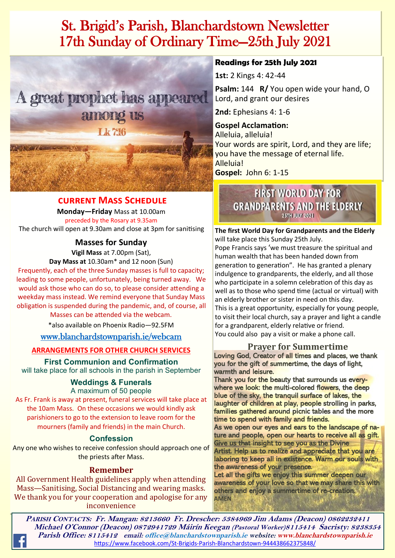# St. Brigid's Parish, Blanchardstown Newsletter 17th Sunday of Ordinary Time—25th July 2021



## **current Mass Schedule**

**Monday—Friday** Mass at 10.00am preceded by the Rosary at 9.35am The church will open at 9.30am and close at 3pm for sanitising

**Masses for Sunday**

**Vigil Mass** at 7.00pm (Sat),

**Day Mass at** 10.30am\* and 12 noon (Sun)

Frequently, each of the three Sunday masses is full to capacity; leading to some people, unfortunately, being turned away. We would ask those who can do so, to please consider attending a weekday mass instead. We remind everyone that Sunday Mass obligation is suspended during the pandemic, and, of course, all

Masses can be attended via the webcam.

\*also available on Phoenix Radio—92.5FM

## [www.blanchardstownparish.ie/webcam](http://www.blanchardstownparish.ie/webcam)

## **ARRANGEMENTS FOR OTHER CHURCH SERVICES**

**First Communion and Confirmation**

will take place for all schools in the parish in September

### **Weddings & Funerals** A maximum of 50 people

As Fr. Frank is away at present, funeral services will take place at the 10am Mass. On these occasions we would kindly ask parishioners to go to the extension to leave room for the mourners (family and friends) in the main Church.

## **Confession**

Any one who wishes to receive confession should approach one of the priests after Mass.

## **Remember**

All Government Health guidelines apply when attending Mass—Sanitising, Social Distancing and wearing masks. We thank you for your cooperation and apologise for any inconvenience

## **Readings for 25th July 2021**

**1st:** 2 Kings 4: 42-44

**Psalm:** 144 **R/** You open wide your hand, O Lord, and grant our desires

**2nd:** Ephesians 4: 1-6

**Gospel Acclamation:**  Alleluia, alleluia! Your words are spirit, Lord, and they are life; you have the message of eternal life. Alleluia! **Gospel:** John 6: 1-15

## **FIRST WORLD DAY FOR GRANDPARENTS AND THE ELDERLY 25TH JULY 2021**

**The first World Day for Grandparents and the Elderly**  will take place this Sunday 25th July.

Pope Francis says 'we must treasure the spiritual and human wealth that has been handed down from generation to generation". He has granted a plenary indulgence to grandparents, the elderly, and all those who participate in a solemn celebration of this day as well as to those who spend time (actual or virtual) with an elderly brother or sister in need on this day. This is a great opportunity, especially for young people, to visit their local church, say a prayer and light a candle for a grandparent, elderly relative or friend. You could also pay a visit or make a phone call.

## **Prayer for Summertime**

Loving God, Creator of all times and places, we thank you for the gift of summertime, the days of light, warmth and leisure.

Thank you for the beauty that surrounds us everywhere we look: the multi-colored flowers, the deep blue of the sky, the tranquil surface of lakes, the laughter of children at play, people strolling in parks, families gathered around picnic tables and the more time to spend with family and friends.

As we open our eyes and ears to the landscape of nature and people, open our hearts to receive all as gift. Give us that insight to see you as the Divine Artist. Help us to realize and appreciate that you are laboring to keep all in existence. Warm our souls with the awareness of your presence.

*Robert Longley* Let all the gifts we enjoy this summer deepen our awareness of your love so that we may share this with others and enjoy a summertime of re-creation. **AMEN**

**PARISH CONTACTS: Fr. Mangan: 8213660 Fr. Drescher: 5384969 Jim Adams (Deacon) 0862232411 Michael O'Connor (Deacon) 0872941729 Máirín Keegan (Pastoral Worker)8115414 Sacristy: 8238354 Parish Office: 8115412 email: office@blanchardstownparish.ie website: www.blanchardstownparish.ie**  [https://www.facebook.com/St](https://www.facebook.com/St-Brigids-Parish-Blanchardstown-944438662375848/)-Brigids-Parish-Blanchardstown-944438662375848/